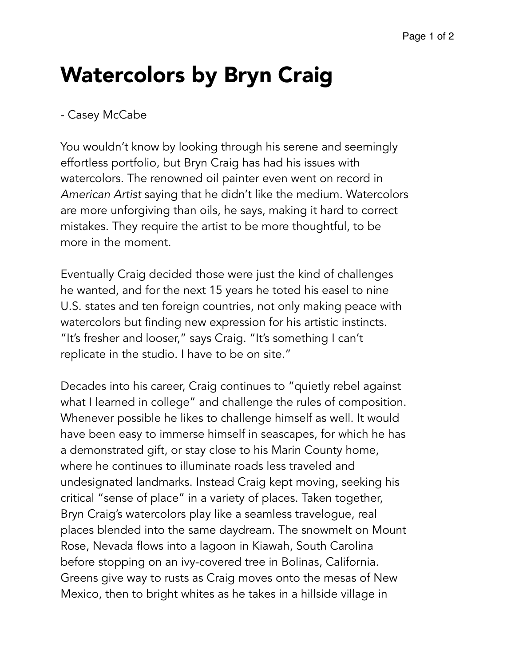## Watercolors by Bryn Craig

## - Casey McCabe

You wouldn't know by looking through his serene and seemingly effortless portfolio, but Bryn Craig has had his issues with watercolors. The renowned oil painter even went on record in *American Artist* saying that he didn't like the medium. Watercolors are more unforgiving than oils, he says, making it hard to correct mistakes. They require the artist to be more thoughtful, to be more in the moment.

Eventually Craig decided those were just the kind of challenges he wanted, and for the next 15 years he toted his easel to nine U.S. states and ten foreign countries, not only making peace with watercolors but finding new expression for his artistic instincts. "It's fresher and looser," says Craig. "It's something I can't replicate in the studio. I have to be on site."

Decades into his career, Craig continues to "quietly rebel against what I learned in college" and challenge the rules of composition. Whenever possible he likes to challenge himself as well. It would have been easy to immerse himself in seascapes, for which he has a demonstrated gift, or stay close to his Marin County home, where he continues to illuminate roads less traveled and undesignated landmarks. Instead Craig kept moving, seeking his critical "sense of place" in a variety of places. Taken together, Bryn Craig's watercolors play like a seamless travelogue, real places blended into the same daydream. The snowmelt on Mount Rose, Nevada flows into a lagoon in Kiawah, South Carolina before stopping on an ivy-covered tree in Bolinas, California. Greens give way to rusts as Craig moves onto the mesas of New Mexico, then to bright whites as he takes in a hillside village in